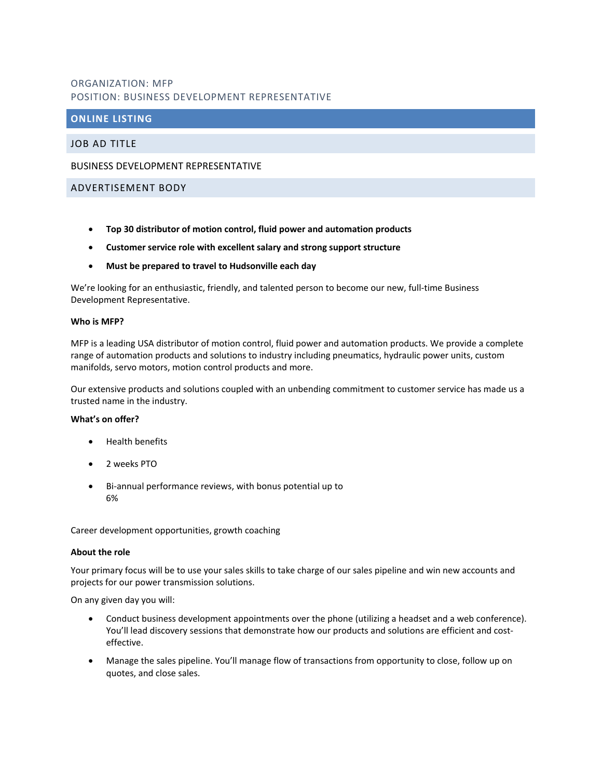# ORGANIZATION: MFP POSITION: BUSINESS DEVELOPMENT REPRESENTATIVE

# **ONLINE LISTING**

JOB AD TITLE

### BUSINESS DEVELOPMENT REPRESENTATIVE

## ADVERTISEMENT BODY

- **Top 30 distributor of motion control, fluid power and automation products**
- **Customer service role with excellent salary and strong support structure**
- **Must be prepared to travel to Hudsonville each day**

We're looking for an enthusiastic, friendly, and talented person to become our new, full-time Business Development Representative.

### **Who is MFP?**

MFP is a leading USA distributor of motion control, fluid power and automation products. We provide a complete range of automation products and solutions to industry including pneumatics, hydraulic power units, custom manifolds, servo motors, motion control products and more.

Our extensive products and solutions coupled with an unbending commitment to customer service has made us a trusted name in the industry.

#### **What's on offer?**

- Health benefits
- 2 weeks PTO
- Bi-annual performance reviews, with bonus potential up to 6%

Career development opportunities, growth coaching

#### **About the role**

Your primary focus will be to use your sales skills to take charge of our sales pipeline and win new accounts and projects for our power transmission solutions.

On any given day you will:

- Conduct business development appointments over the phone (utilizing a headset and a web conference). You'll lead discovery sessions that demonstrate how our products and solutions are efficient and costeffective.
- Manage the sales pipeline. You'll manage flow of transactions from opportunity to close, follow up on quotes, and close sales.